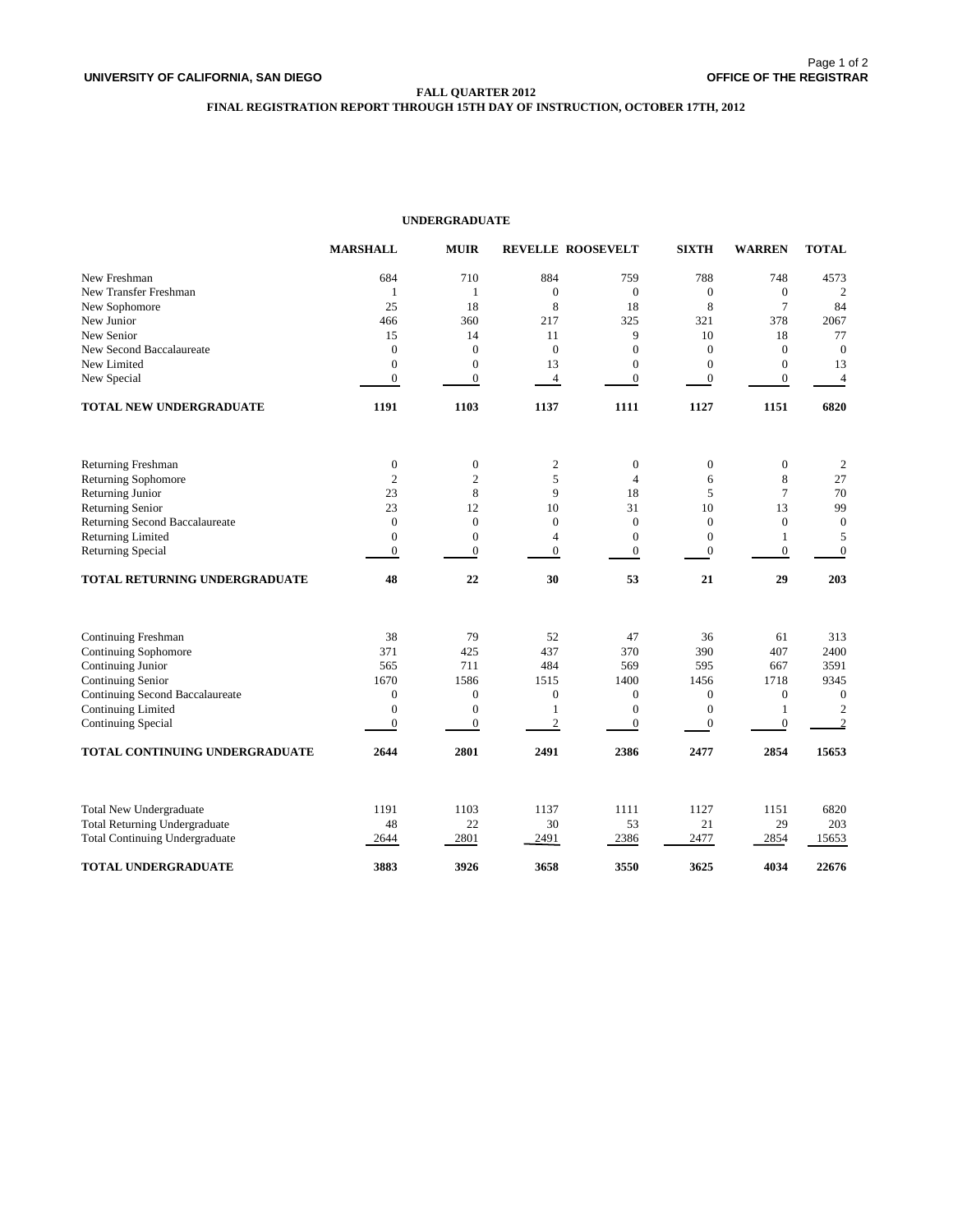# **FALL QUARTER 2012**

# **FINAL REGISTRATION REPORT THROUGH 15TH DAY OF INSTRUCTION, OCTOBER 17TH, 2012**

# **UNDERGRADUATE**

|                                                                               | <b>MARSHALL</b>  | <b>MUIR</b>      |                  | <b>REVELLE ROOSEVELT</b> | <b>SIXTH</b>     | <b>WARREN</b>    | <b>TOTAL</b>     |
|-------------------------------------------------------------------------------|------------------|------------------|------------------|--------------------------|------------------|------------------|------------------|
| New Freshman                                                                  | 684              | 710              | 884              | 759                      | 788              | 748              | 4573             |
| New Transfer Freshman                                                         | 1                | 1                | $\mathbf{0}$     | $\mathbf{0}$             | $\mathbf{0}$     | $\mathbf{0}$     | $\overline{c}$   |
| New Sophomore                                                                 | 25               | 18               | 8                | 18                       | 8                | $\overline{7}$   | 84               |
| New Junior                                                                    | 466              | 360              | 217              | 325                      | 321              | 378              | 2067             |
| New Senior                                                                    | 15               | 14               | 11               | 9                        | 10               | 18               | 77               |
| New Second Baccalaureate                                                      | $\mathbf{0}$     | $\mathbf{0}$     | $\mathbf{0}$     | $\mathbf{0}$             | $\mathbf{0}$     | $\mathbf{0}$     | $\mathbf{0}$     |
| New Limited                                                                   | $\mathbf{0}$     | $\mathbf{0}$     | 13               | $\mathbf{0}$             | $\mathbf{0}$     | $\boldsymbol{0}$ | 13               |
| New Special                                                                   | $\boldsymbol{0}$ | $\boldsymbol{0}$ | $\overline{4}$   | $\boldsymbol{0}$         | $\mathbf{0}$     | $\boldsymbol{0}$ | $\overline{4}$   |
| TOTAL NEW UNDERGRADUATE                                                       | 1191             | 1103             | 1137             | 1111                     | 1127             | 1151             | 6820             |
| Returning Freshman                                                            | $\mathbf{0}$     | $\boldsymbol{0}$ | $\mathfrak{2}$   | $\boldsymbol{0}$         | $\boldsymbol{0}$ | $\boldsymbol{0}$ | $\overline{2}$   |
| <b>Returning Sophomore</b>                                                    | $\overline{2}$   | $\mathbf{2}$     | 5                | $\overline{4}$           | 6                | 8                | $27\,$           |
| Returning Junior                                                              | 23               | 8                | 9                | 18                       | 5                | $\overline{7}$   | 70               |
| Returning Senior                                                              | 23               | 12               | 10               | 31                       | 10               | 13               | 99               |
| Returning Second Baccalaureate                                                | $\boldsymbol{0}$ | $\boldsymbol{0}$ | $\boldsymbol{0}$ | $\mathbf{0}$             | $\mathbf{0}$     | $\boldsymbol{0}$ | $\boldsymbol{0}$ |
| Returning Limited                                                             | $\mathbf{0}$     | $\mathbf{0}$     | $\overline{4}$   | $\mathbf{0}$             | $\overline{0}$   | 1                | 5                |
| <b>Returning Special</b>                                                      | $\boldsymbol{0}$ | $\boldsymbol{0}$ | $\boldsymbol{0}$ | $\boldsymbol{0}$         | $\overline{0}$   | $\boldsymbol{0}$ | $\boldsymbol{0}$ |
| TOTAL RETURNING UNDERGRADUATE                                                 | 48               | 22               | 30               | 53                       | 21               | 29               | 203              |
| <b>Continuing Freshman</b>                                                    | 38               | 79               | 52               | 47                       | 36               | 61               | 313              |
| <b>Continuing Sophomore</b>                                                   | 371              | 425              | 437              | 370                      | 390              | 407              | 2400             |
| Continuing Junior                                                             | 565              | 711              | 484              | 569                      | 595              | 667              | 3591             |
| Continuing Senior                                                             | 1670             | 1586             | 1515             | 1400                     | 1456             | 1718             | 9345             |
| Continuing Second Baccalaureate                                               | $\mathbf{0}$     | $\boldsymbol{0}$ | $\mathbf{0}$     | $\mathbf{0}$             | $\mathbf{0}$     | $\boldsymbol{0}$ | $\boldsymbol{0}$ |
| Continuing Limited                                                            | $\mathbf{0}$     | $\boldsymbol{0}$ | $\mathbf{1}$     | $\mathbf{0}$             | $\mathbf{0}$     | $\mathbf{1}$     | $\overline{c}$   |
| Continuing Special                                                            | $\overline{0}$   | $\boldsymbol{0}$ | $\sqrt{2}$       | $\boldsymbol{0}$         | $\overline{0}$   | $\mathbf{0}$     | $\overline{2}$   |
| TOTAL CONTINUING UNDERGRADUATE                                                | 2644             | 2801             | 2491             | 2386                     | 2477             | 2854             | 15653            |
|                                                                               |                  |                  |                  |                          |                  |                  |                  |
| <b>Total New Undergraduate</b>                                                | 1191<br>48       | 1103<br>22       | 1137<br>30       | 1111<br>53               | 1127<br>21       | 1151<br>29       | 6820<br>203      |
| <b>Total Returning Undergraduate</b><br><b>Total Continuing Undergraduate</b> | 2644             | 2801             | 2491             | 2386                     | 2477             | 2854             | 15653            |
| TOTAL UNDERGRADUATE                                                           | 3883             | 3926             | 3658             | 3550                     | 3625             | 4034             | 22676            |